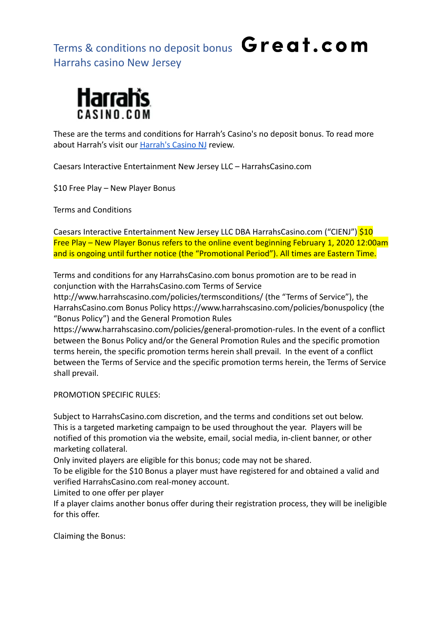

These are the terms and conditions for Harrah's Casino's no deposit bonus. To read more about Harrah's visit our [Harrah's Casino NJ](https://great.com/en-us/online-casino/harrahs-online-casino-nj/) review.

Caesars Interactive Entertainment New Jersey LLC – HarrahsCasino.com

\$10 Free Play – New Player Bonus

Terms and Conditions

Caesars Interactive Entertainment New Jersey LLC DBA HarrahsCasino.com ("CIENJ") \$10 Free Play – New Player Bonus refers to the online event beginning February 1, 2020 12:00am and is ongoing until further notice (the "Promotional Period"). All times are Eastern Time.

Terms and conditions for any HarrahsCasino.com bonus promotion are to be read in conjunction with the HarrahsCasino.com Terms of Service

http://www.harrahscasino.com/policies/termsconditions/ (the "Terms of Service"), the HarrahsCasino.com Bonus Policy https://www.harrahscasino.com/policies/bonuspolicy (the "Bonus Policy") and the General Promotion Rules

https://www.harrahscasino.com/policies/general-promotion-rules. In the event of a conflict between the Bonus Policy and/or the General Promotion Rules and the specific promotion terms herein, the specific promotion terms herein shall prevail. In the event of a conflict between the Terms of Service and the specific promotion terms herein, the Terms of Service shall prevail.

PROMOTION SPECIFIC RULES:

Subject to HarrahsCasino.com discretion, and the terms and conditions set out below. This is a targeted marketing campaign to be used throughout the year. Players will be notified of this promotion via the website, email, social media, in-client banner, or other marketing collateral.

Only invited players are eligible for this bonus; code may not be shared.

To be eligible for the \$10 Bonus a player must have registered for and obtained a valid and verified HarrahsCasino.com real-money account.

Limited to one offer per player

If a player claims another bonus offer during their registration process, they will be ineligible for this offer.

Claiming the Bonus: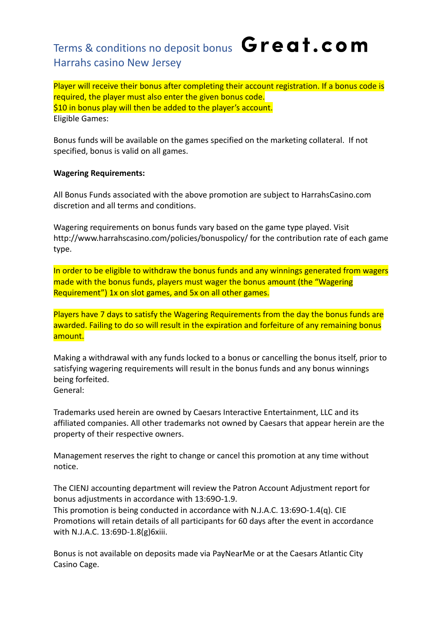Player will receive their bonus after completing their account registration. If a bonus code is required, the player must also enter the given bonus code. \$10 in bonus play will then be added to the player's account. Eligible Games:

Bonus funds will be available on the games specified on the marketing collateral. If not specified, bonus is valid on all games.

#### **Wagering Requirements:**

All Bonus Funds associated with the above promotion are subject to HarrahsCasino.com discretion and all terms and conditions.

Wagering requirements on bonus funds vary based on the game type played. Visit http://www.harrahscasino.com/policies/bonuspolicy/ for the contribution rate of each game type.

In order to be eligible to withdraw the bonus funds and any winnings generated from wagers made with the bonus funds, players must wager the bonus amount (the "Wagering Requirement") 1x on slot games, and 5x on all other games.

Players have 7 days to satisfy the Wagering Requirements from the day the bonus funds are awarded. Failing to do so will result in the expiration and forfeiture of any remaining bonus amount.

Making a withdrawal with any funds locked to a bonus or cancelling the bonus itself, prior to satisfying wagering requirements will result in the bonus funds and any bonus winnings being forfeited. General:

Trademarks used herein are owned by Caesars Interactive Entertainment, LLC and its affiliated companies. All other trademarks not owned by Caesars that appear herein are the property of their respective owners.

Management reserves the right to change or cancel this promotion at any time without notice.

The CIENJ accounting department will review the Patron Account Adjustment report for bonus adjustments in accordance with 13:69O-1.9.

This promotion is being conducted in accordance with N.J.A.C. 13:69O-1.4(q). CIE Promotions will retain details of all participants for 60 days after the event in accordance with N.J.A.C. 13:69D-1.8(g)6xiii.

Bonus is not available on deposits made via PayNearMe or at the Caesars Atlantic City Casino Cage.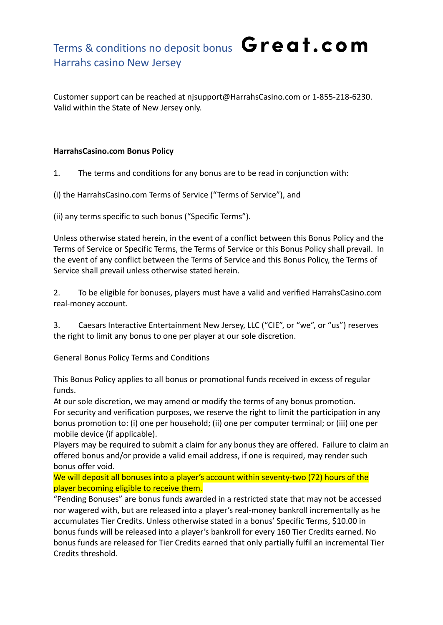Customer support can be reached at njsupport@HarrahsCasino.com or 1-855-218-6230. Valid within the State of New Jersey only.

### **HarrahsCasino.com Bonus Policy**

1. The terms and conditions for any bonus are to be read in conjunction with:

(i) the HarrahsCasino.com Terms of Service ("Terms of Service"), and

(ii) any terms specific to such bonus ("Specific Terms").

Unless otherwise stated herein, in the event of a conflict between this Bonus Policy and the Terms of Service or Specific Terms, the Terms of Service or this Bonus Policy shall prevail. In the event of any conflict between the Terms of Service and this Bonus Policy, the Terms of Service shall prevail unless otherwise stated herein.

2. To be eligible for bonuses, players must have a valid and verified HarrahsCasino.com real-money account.

3. Caesars Interactive Entertainment New Jersey, LLC ("CIE", or "we", or "us") reserves the right to limit any bonus to one per player at our sole discretion.

General Bonus Policy Terms and Conditions

This Bonus Policy applies to all bonus or promotional funds received in excess of regular funds.

At our sole discretion, we may amend or modify the terms of any bonus promotion. For security and verification purposes, we reserve the right to limit the participation in any bonus promotion to: (i) one per household; (ii) one per computer terminal; or (iii) one per mobile device (if applicable).

Players may be required to submit a claim for any bonus they are offered. Failure to claim an offered bonus and/or provide a valid email address, if one is required, may render such bonus offer void.

We will deposit all bonuses into a player's account within seventy-two (72) hours of the player becoming eligible to receive them.

"Pending Bonuses" are bonus funds awarded in a restricted state that may not be accessed nor wagered with, but are released into a player's real-money bankroll incrementally as he accumulates Tier Credits. Unless otherwise stated in a bonus' Specific Terms, \$10.00 in bonus funds will be released into a player's bankroll for every 160 Tier Credits earned. No bonus funds are released for Tier Credits earned that only partially fulfil an incremental Tier Credits threshold.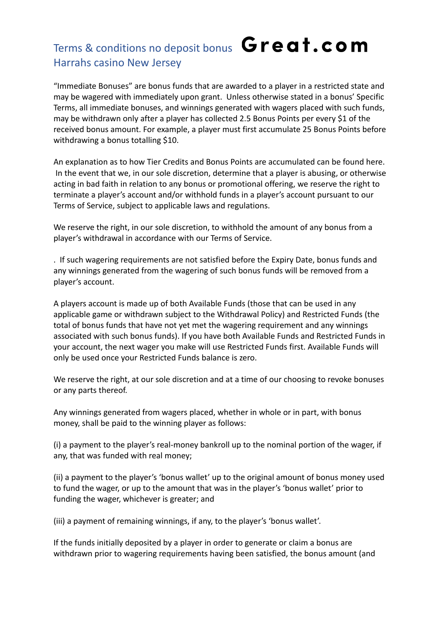"Immediate Bonuses" are bonus funds that are awarded to a player in a restricted state and may be wagered with immediately upon grant. Unless otherwise stated in a bonus' Specific Terms, all immediate bonuses, and winnings generated with wagers placed with such funds, may be withdrawn only after a player has collected 2.5 Bonus Points per every \$1 of the received bonus amount. For example, a player must first accumulate 25 Bonus Points before withdrawing a bonus totalling \$10.

An explanation as to how Tier Credits and Bonus Points are accumulated can be found here. In the event that we, in our sole discretion, determine that a player is abusing, or otherwise acting in bad faith in relation to any bonus or promotional offering, we reserve the right to terminate a player's account and/or withhold funds in a player's account pursuant to our Terms of Service, subject to applicable laws and regulations.

We reserve the right, in our sole discretion, to withhold the amount of any bonus from a player's withdrawal in accordance with our Terms of Service.

. If such wagering requirements are not satisfied before the Expiry Date, bonus funds and any winnings generated from the wagering of such bonus funds will be removed from a player's account.

A players account is made up of both Available Funds (those that can be used in any applicable game or withdrawn subject to the Withdrawal Policy) and Restricted Funds (the total of bonus funds that have not yet met the wagering requirement and any winnings associated with such bonus funds). If you have both Available Funds and Restricted Funds in your account, the next wager you make will use Restricted Funds first. Available Funds will only be used once your Restricted Funds balance is zero.

We reserve the right, at our sole discretion and at a time of our choosing to revoke bonuses or any parts thereof.

Any winnings generated from wagers placed, whether in whole or in part, with bonus money, shall be paid to the winning player as follows:

(i) a payment to the player's real-money bankroll up to the nominal portion of the wager, if any, that was funded with real money;

(ii) a payment to the player's 'bonus wallet' up to the original amount of bonus money used to fund the wager, or up to the amount that was in the player's 'bonus wallet' prior to funding the wager, whichever is greater; and

(iii) a payment of remaining winnings, if any, to the player's 'bonus wallet'.

If the funds initially deposited by a player in order to generate or claim a bonus are withdrawn prior to wagering requirements having been satisfied, the bonus amount (and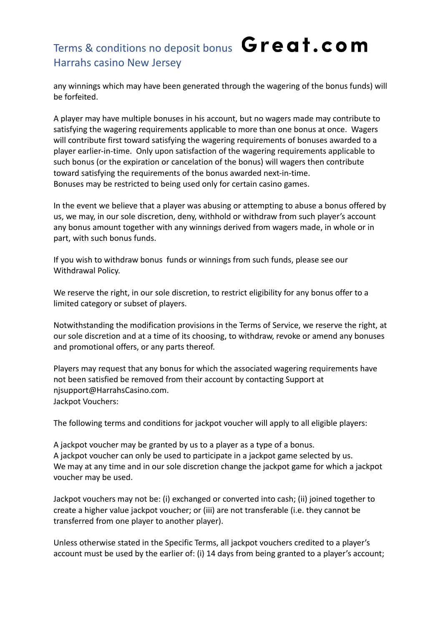any winnings which may have been generated through the wagering of the bonus funds) will be forfeited.

A player may have multiple bonuses in his account, but no wagers made may contribute to satisfying the wagering requirements applicable to more than one bonus at once. Wagers will contribute first toward satisfying the wagering requirements of bonuses awarded to a player earlier-in-time. Only upon satisfaction of the wagering requirements applicable to such bonus (or the expiration or cancelation of the bonus) will wagers then contribute toward satisfying the requirements of the bonus awarded next-in-time. Bonuses may be restricted to being used only for certain casino games.

In the event we believe that a player was abusing or attempting to abuse a bonus offered by us, we may, in our sole discretion, deny, withhold or withdraw from such player's account any bonus amount together with any winnings derived from wagers made, in whole or in part, with such bonus funds.

If you wish to withdraw bonus funds or winnings from such funds, please see our Withdrawal Policy.

We reserve the right, in our sole discretion, to restrict eligibility for any bonus offer to a limited category or subset of players.

Notwithstanding the modification provisions in the Terms of Service, we reserve the right, at our sole discretion and at a time of its choosing, to withdraw, revoke or amend any bonuses and promotional offers, or any parts thereof.

Players may request that any bonus for which the associated wagering requirements have not been satisfied be removed from their account by contacting Support at njsupport@HarrahsCasino.com. Jackpot Vouchers:

The following terms and conditions for jackpot voucher will apply to all eligible players:

A jackpot voucher may be granted by us to a player as a type of a bonus. A jackpot voucher can only be used to participate in a jackpot game selected by us. We may at any time and in our sole discretion change the jackpot game for which a jackpot voucher may be used.

Jackpot vouchers may not be: (i) exchanged or converted into cash; (ii) joined together to create a higher value jackpot voucher; or (iii) are not transferable (i.e. they cannot be transferred from one player to another player).

Unless otherwise stated in the Specific Terms, all jackpot vouchers credited to a player's account must be used by the earlier of: (i) 14 days from being granted to a player's account;